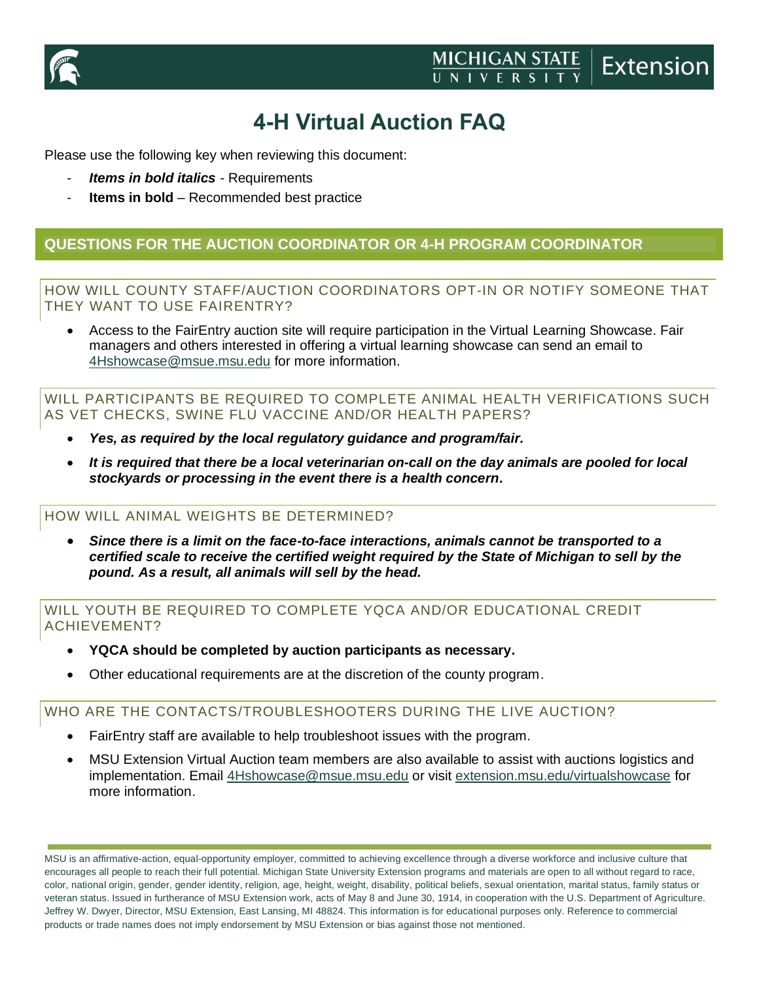

## **4-H Virtual Auction FAQ**

Please use the following key when reviewing this document:

- *Items in bold italics -* Requirements
- **Items in bold** Recommended best practice

## **QUESTIONS FOR THE AUCTION COORDINATOR OR 4-H PROGRAM COORDINATOR**

### HOW WILL COUNTY STAFF/AUCTION COORDINATORS OPT-IN OR NOTIFY SOMEONE THAT THEY WANT TO USE FAIRENTRY?

• Access to the FairEntry auction site will require participation in the Virtual Learning Showcase. Fair managers and others interested in offering a virtual learning showcase can send an email to [4Hshowcase@msue.msu.edu](mailto:4Hshowcase@msue.msu.edu) for more information.

WILL PARTICIPANTS BE REQUIRED TO COMPLETE ANIMAL HEALTH VERIFICATIONS SUCH AS VET CHECKS, SWINE FLU VACCINE AND/OR HEALTH PAPERS?

- *Yes, as required by the local regulatory guidance and program/fair.*
- *It is required that there be a local veterinarian on-call on the day animals are pooled for local stockyards or processing in the event there is a health concern.*

### HOW WILL ANIMAL WEIGHTS BE DETERMINED?

• *Since there is a limit on the face-to-face interactions, animals cannot be transported to a certified scale to receive the certified weight required by the State of Michigan to sell by the pound. As a result, all animals will sell by the head.*

## WILL YOUTH BE REQUIRED TO COMPLETE YQCA AND/OR EDUCATIONAL CREDIT ACHIEVEMENT?

- **YQCA should be completed by auction participants as necessary.**
- Other educational requirements are at the discretion of the county program.

WHO ARE THE CONTACTS/TROUBLESHOOTERS DURING THE LIVE AUCTION?

- FairEntry staff are available to help troubleshoot issues with the program.
- MSU Extension Virtual Auction team members are also available to assist with auctions logistics and implementation. Email [4Hshowcase@msue.msu.edu](mailto:4Hshowcase@msue.msu.edu) or visit [extension.msu.edu/virtualshowcase](https://www.canr.msu.edu/virtual-showcase/index) for more information.

MSU is an affirmative-action, equal-opportunity employer, committed to achieving excellence through a diverse workforce and inclusive culture that encourages all people to reach their full potential. Michigan State University Extension programs and materials are open to all without regard to race, color, national origin, gender, gender identity, religion, age, height, weight, disability, political beliefs, sexual orientation, marital status, family status or veteran status. Issued in furtherance of MSU Extension work, acts of May 8 and June 30, 1914, in cooperation with the U.S. Department of Agriculture. Jeffrey W. Dwyer, Director, MSU Extension, East Lansing, MI 48824. This information is for educational purposes only. Reference to commercial products or trade names does not imply endorsement by MSU Extension or bias against those not mentioned.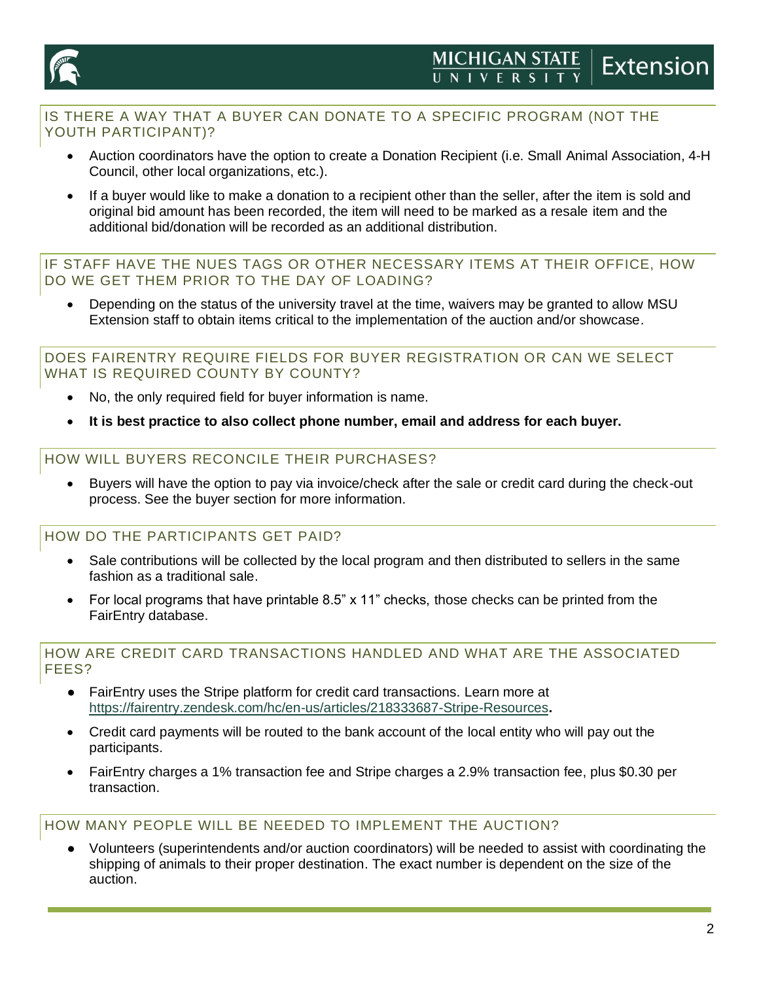

## IS THERE A WAY THAT A BUYER CAN DONATE TO A SPECIFIC PROGRAM (NOT THE YOUTH PARTICIPANT)?

- Auction coordinators have the option to create a Donation Recipient (i.e. Small Animal Association, 4-H Council, other local organizations, etc.).
- If a buyer would like to make a donation to a recipient other than the seller, after the item is sold and original bid amount has been recorded, the item will need to be marked as a resale item and the additional bid/donation will be recorded as an additional distribution.

IF STAFF HAVE THE NUES TAGS OR OTHER NECESSARY ITEMS AT THEIR OFFICE, HOW DO WE GET THEM PRIOR TO THE DAY OF LOADING?

• Depending on the status of the university travel at the time, waivers may be granted to allow MSU Extension staff to obtain items critical to the implementation of the auction and/or showcase.

## DOES FAIRENTRY REQUIRE FIELDS FOR BUYER REGISTRATION OR CAN WE SELECT WHAT IS REQUIRED COUNTY BY COUNTY?

- No, the only required field for buyer information is name.
- **It is best practice to also collect phone number, email and address for each buyer.**

## HOW WILL BUYERS RECONCILE THEIR PURCHASES?

• Buyers will have the option to pay via invoice/check after the sale or credit card during the check-out process. See the buyer section for more information.

HOW DO THE PARTICIPANTS GET PAID?

- Sale contributions will be collected by the local program and then distributed to sellers in the same fashion as a traditional sale.
- For local programs that have printable 8.5" x 11" checks, those checks can be printed from the FairEntry database.

## HOW ARE CREDIT CARD TRANSACTIONS HANDLED AND WHAT ARE THE ASSOCIATED FEES?

- FairEntry uses the Stripe platform for credit card transactions. Learn more at <https://fairentry.zendesk.com/hc/en-us/articles/218333687-Stripe-Resources>**.**
- Credit card payments will be routed to the bank account of the local entity who will pay out the participants.
- FairEntry charges a 1% transaction fee and Stripe charges a 2.9% transaction fee, plus \$0.30 per transaction.

## HOW MANY PEOPLE WILL BE NEEDED TO IMPLEMENT THE AUCTION?

Volunteers (superintendents and/or auction coordinators) will be needed to assist with coordinating the shipping of animals to their proper destination. The exact number is dependent on the size of the auction.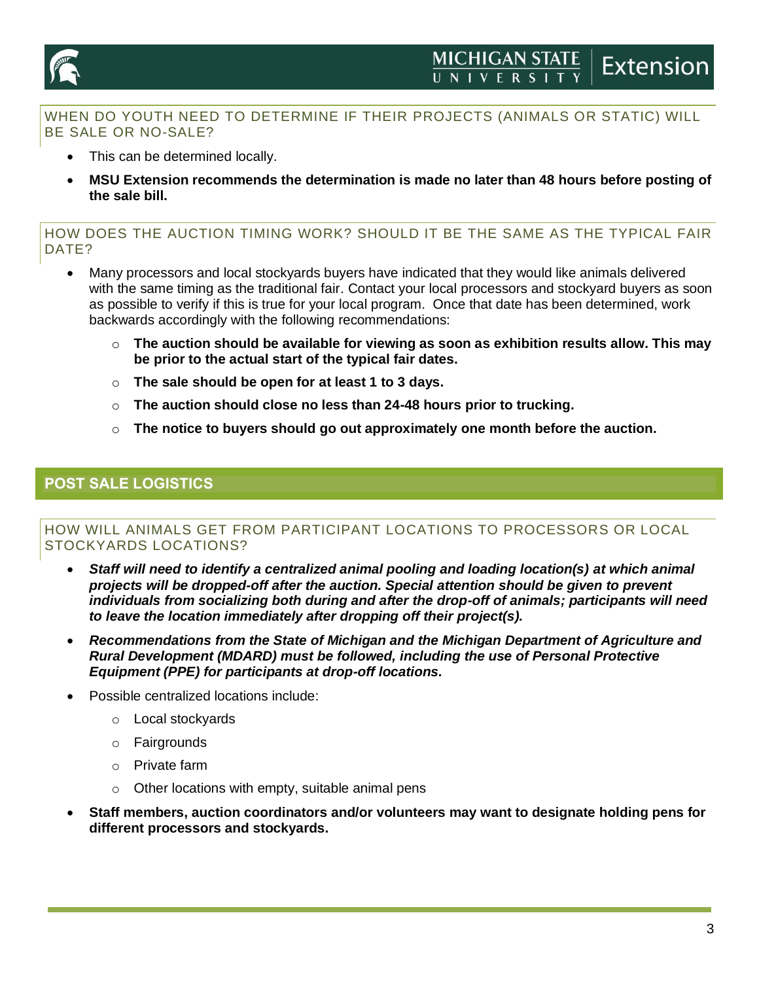



## WHEN DO YOUTH NEED TO DETERMINE IF THEIR PROJECTS (ANIMALS OR STATIC) WILL BE SALE OR NO-SALE?

- This can be determined locally.
- **MSU Extension recommends the determination is made no later than 48 hours before posting of the sale bill.**

HOW DOES THE AUCTION TIMING WORK? SHOULD IT BE THE SAME AS THE TYPICAL FAIR DATE?

- Many processors and local stockyards buyers have indicated that they would like animals delivered with the same timing as the traditional fair. Contact your local processors and stockyard buyers as soon as possible to verify if this is true for your local program. Once that date has been determined, work backwards accordingly with the following recommendations:
	- o **The auction should be available for viewing as soon as exhibition results allow. This may be prior to the actual start of the typical fair dates.**
	- o **The sale should be open for at least 1 to 3 days.**
	- o **The auction should close no less than 24-48 hours prior to trucking.**
	- o **The notice to buyers should go out approximately one month before the auction.**

## **POST SALE LOGISTICS**

### HOW WILL ANIMALS GET FROM PARTICIPANT LOCATIONS TO PROCESSORS OR LOCAL STOCKYARDS LOCATIONS?

- *Staff will need to identify a centralized animal pooling and loading location(s) at which animal projects will be dropped-off after the auction. Special attention should be given to prevent individuals from socializing both during and after the drop-off of animals; participants will need to leave the location immediately after dropping off their project(s).*
- *Recommendations from the State of Michigan and the Michigan Department of Agriculture and Rural Development (MDARD) must be followed, including the use of Personal Protective Equipment (PPE) for participants at drop-off locations.*
- Possible centralized locations include:
	- o Local stockyards
	- o Fairgrounds
	- o Private farm
	- $\circ$  Other locations with empty, suitable animal pens
- **Staff members, auction coordinators and/or volunteers may want to designate holding pens for different processors and stockyards.**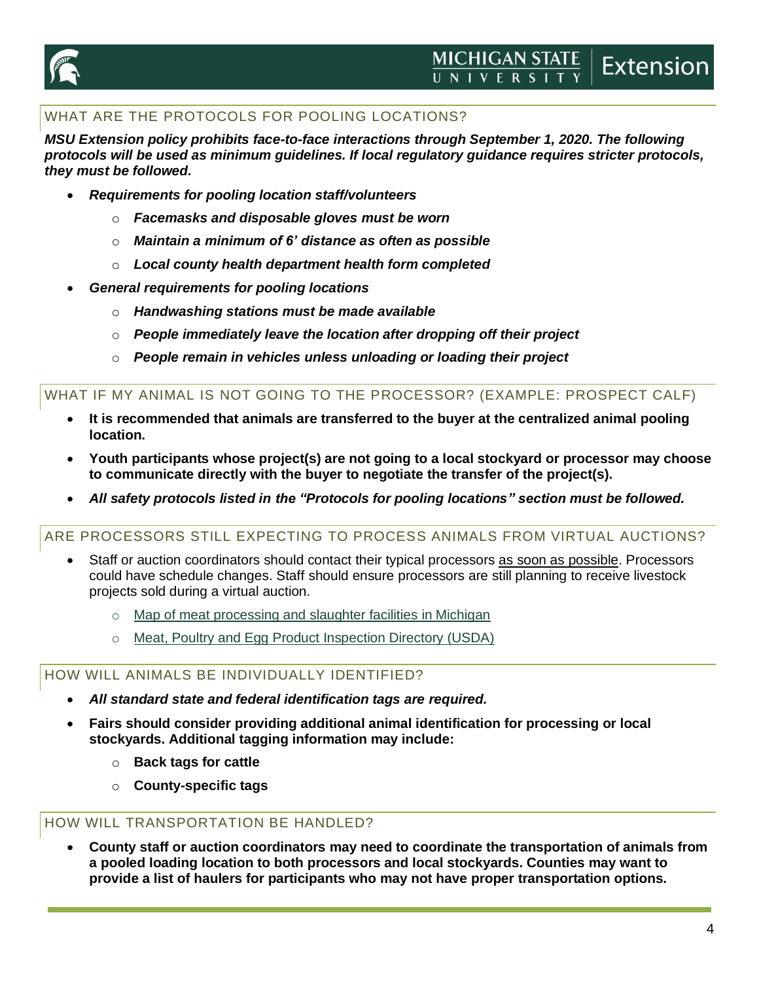

## WHAT ARE THE PROTOCOLS FOR POOLING LOCATIONS?

*MSU Extension policy prohibits face-to-face interactions through September 1, 2020. The following protocols will be used as minimum guidelines. If local regulatory guidance requires stricter protocols, they must be followed.*

- *Requirements for pooling location staff/volunteers*
	- o *Facemasks and disposable gloves must be worn*
	- o *Maintain a minimum of 6' distance as often as possible*
	- o *Local county health department health form completed*
- *General requirements for pooling locations*
	- o *Handwashing stations must be made available*
	- o *People immediately leave the location after dropping off their project*
	- o *People remain in vehicles unless unloading or loading their project*

### WHAT IF MY ANIMAL IS NOT GOING TO THE PROCESSOR? (EXAMPLE: PROSPECT CALF)

- **It is recommended that animals are transferred to the buyer at the centralized animal pooling location.**
- **Youth participants whose project(s) are not going to a local stockyard or processor may choose to communicate directly with the buyer to negotiate the transfer of the project(s).**
- *All safety protocols listed in the "Protocols for pooling locations" section must be followed.*

### ARE PROCESSORS STILL EXPECTING TO PROCESS ANIMALS FROM VIRTUAL AUCTIONS?

- Staff or auction coordinators should contact their typical processors as soon as possible. Processors could have schedule changes. Staff should ensure processors are still planning to receive livestock projects sold during a virtual auction.
	- o [Map of meat processing and slaughter facilities in Michigan](https://www.canr.msu.edu/meat_marketing_processing/michigan_meat_processing_capacity_assessment_final_report)
	- o [Meat, Poultry and Egg Product Inspection Directory \(USDA\)](https://www.fsis.usda.gov/wps/portal/fsis/topics/inspection/mpi-directory)

### HOW WILL ANIMALS BE INDIVIDUALLY IDENTIFIED?

- *All standard state and federal identification tags are required.*
- **Fairs should consider providing additional animal identification for processing or local stockyards. Additional tagging information may include:**
	- o **Back tags for cattle**
	- o **County-specific tags**

## HOW WILL TRANSPORTATION BE HANDLED?

• **County staff or auction coordinators may need to coordinate the transportation of animals from a pooled loading location to both processors and local stockyards. Counties may want to provide a list of haulers for participants who may not have proper transportation options.**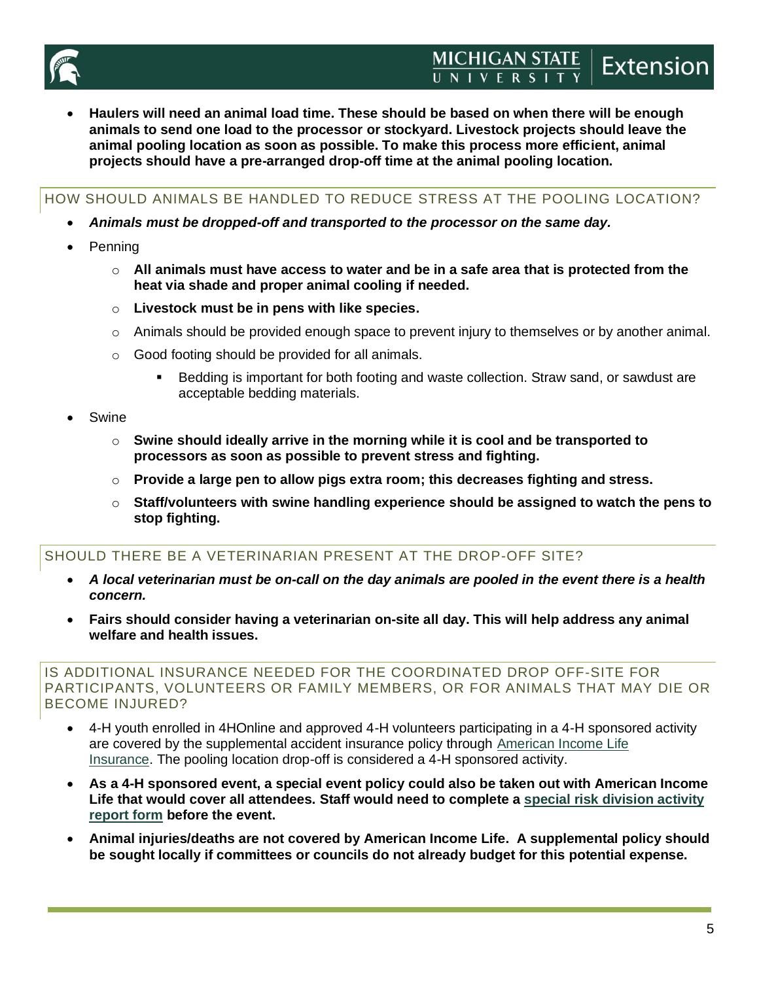

• **Haulers will need an animal load time. These should be based on when there will be enough animals to send one load to the processor or stockyard. Livestock projects should leave the animal pooling location as soon as possible. To make this process more efficient, animal projects should have a pre-arranged drop-off time at the animal pooling location.**

HOW SHOULD ANIMALS BE HANDLED TO REDUCE STRESS AT THE POOLING LOCATION?

- *Animals must be dropped-off and transported to the processor on the same day.*
- Penning
	- o **All animals must have access to water and be in a safe area that is protected from the heat via shade and proper animal cooling if needed.**
	- o **Livestock must be in pens with like species.**
	- $\circ$  Animals should be provided enough space to prevent injury to themselves or by another animal.
	- o Good footing should be provided for all animals.
		- Bedding is important for both footing and waste collection. Straw sand, or sawdust are acceptable bedding materials.
- Swine
	- o **Swine should ideally arrive in the morning while it is cool and be transported to processors as soon as possible to prevent stress and fighting.**
	- o **Provide a large pen to allow pigs extra room; this decreases fighting and stress.**
	- o **Staff/volunteers with swine handling experience should be assigned to watch the pens to stop fighting.**

## SHOULD THERE BE A VETERINARIAN PRESENT AT THE DROP-OFF SITE?

- *A local veterinarian must be on-call on the day animals are pooled in the event there is a health concern.*
- **Fairs should consider having a veterinarian on-site all day. This will help address any animal welfare and health issues.**

#### IS ADDITIONAL INSURANCE NEEDED FOR THE COORDINATED DROP OFF-SITE FOR PARTICIPANTS, VOLUNTEERS OR FAMILY MEMBERS, OR FOR ANIMALS THAT MAY DIE OR BECOME INJURED?

- 4-H youth enrolled in 4HOnline and approved 4-H volunteers participating in a 4-H sponsored activity are covered by the supplemental accident insurance policy through [American Income Life](https://www.ailife.com/specialriskdivision/4h-extension)  [Insurance.](https://www.ailife.com/specialriskdivision/4h-extension) The pooling location drop-off is considered a 4-H sponsored activity.
- **As a 4-H sponsored event, a special event policy could also be taken out with American Income Life that would cover all attendees. Staff would need to complete a [special risk division activity](https://www.ailife.com/specialriskdivision/activityreport) [report form](https://www.ailife.com/specialriskdivision/activityreport) before the event.**
- **Animal injuries/deaths are not covered by American Income Life. A supplemental policy should be sought locally if committees or councils do not already budget for this potential expense.**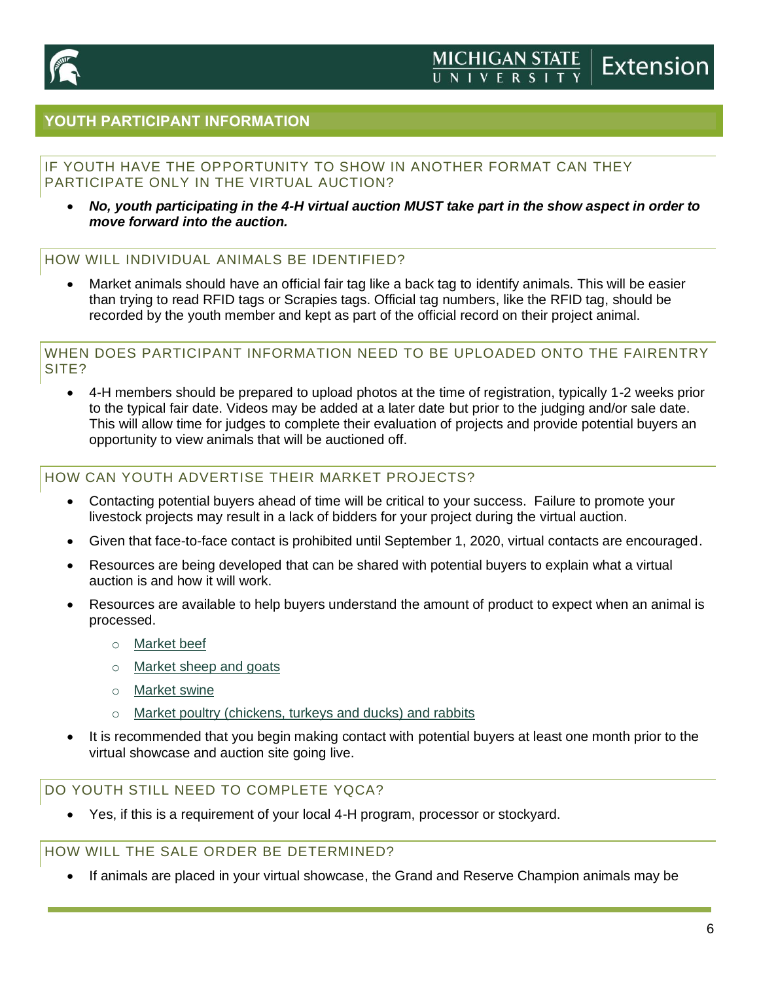

## **YOUTH PARTICIPANT INFORMATION**

## IF YOUTH HAVE THE OPPORTUNITY TO SHOW IN ANOTHER FORMAT CAN THEY PARTICIPATE ONLY IN THE VIRTUAL AUCTION?

• *No, youth participating in the 4-H virtual auction MUST take part in the show aspect in order to move forward into the auction.*

## HOW WILL INDIVIDUAL ANIMALS BE IDENTIFIED?

• Market animals should have an official fair tag like a back tag to identify animals. This will be easier than trying to read RFID tags or Scrapies tags. Official tag numbers, like the RFID tag, should be recorded by the youth member and kept as part of the official record on their project animal.

#### WHEN DOES PARTICIPANT INFORMATION NEED TO BE UPLOADED ONTO THE FAIRENTRY SITE?

• 4-H members should be prepared to upload photos at the time of registration, typically 1-2 weeks prior to the typical fair date. Videos may be added at a later date but prior to the judging and/or sale date. This will allow time for judges to complete their evaluation of projects and provide potential buyers an opportunity to view animals that will be auctioned off.

## HOW CAN YOUTH ADVERTISE THEIR MARKET PROJECTS?

- Contacting potential buyers ahead of time will be critical to your success. Failure to promote your livestock projects may result in a lack of bidders for your project during the virtual auction.
- Given that face-to-face contact is prohibited until September 1, 2020, virtual contacts are encouraged.
- Resources are being developed that can be shared with potential buyers to explain what a virtual auction is and how it will work.
- Resources are available to help buyers understand the amount of product to expect when an animal is processed.
	- o [Market beef](https://www.canr.msu.edu/resources/recommendations-for-marketing-youth-animal-projects-beef)
	- o [Market sheep and goats](https://www.canr.msu.edu/resources/recommendations-for-marketing-youth-animal-projects-sheep-and-goats)
	- o [Market swine](https://www.canr.msu.edu/resources/recommendations-for-marketing-youth-animal-projects-swine)
	- o [Market poultry \(chickens, turkeys and ducks\) and rabbits](https://www.canr.msu.edu/resources/recommendations-for-marketing-youth-animal-projects-poultry-chickens-turkeys-ducks-and-rabbits)
- It is recommended that you begin making contact with potential buyers at least one month prior to the virtual showcase and auction site going live.

### DO YOUTH STILL NEED TO COMPLETE YQCA?

• Yes, if this is a requirement of your local 4-H program, processor or stockyard.

HOW WILL THE SALE ORDER BE DETERMINED?

• If animals are placed in your virtual showcase, the Grand and Reserve Champion animals may be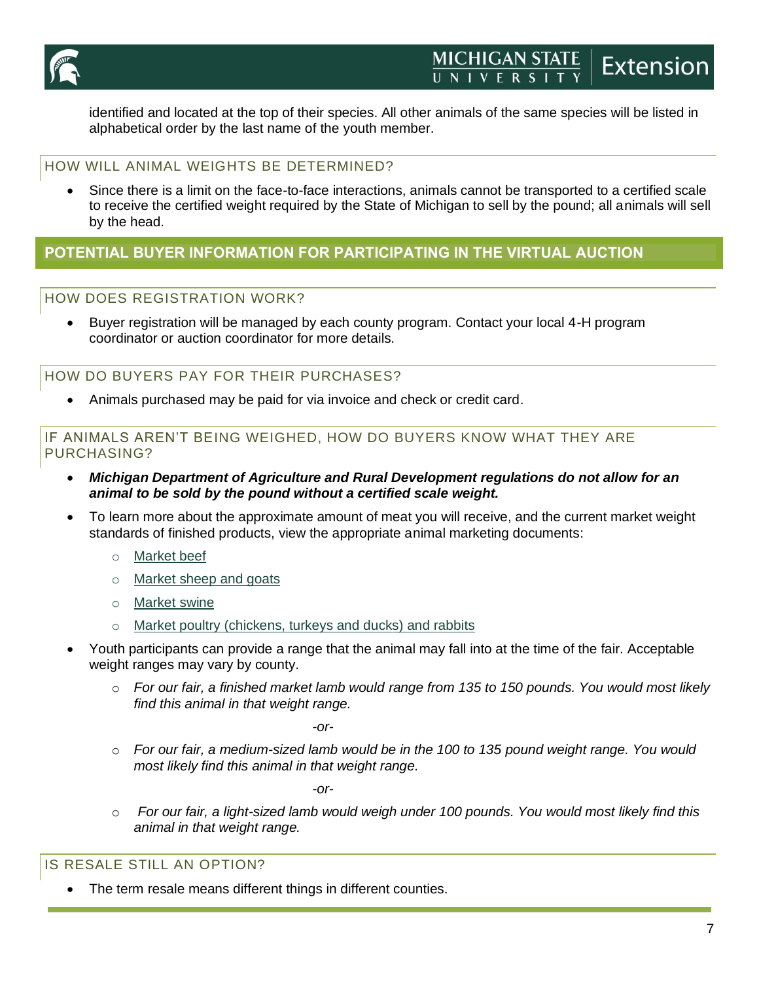

identified and located at the top of their species. All other animals of the same species will be listed in alphabetical order by the last name of the youth member.

## HOW WILL ANIMAL WEIGHTS BE DETERMINED?

• Since there is a limit on the face-to-face interactions, animals cannot be transported to a certified scale to receive the certified weight required by the State of Michigan to sell by the pound; all animals will sell by the head.

## **POTENTIAL BUYER INFORMATION FOR PARTICIPATING IN THE VIRTUAL AUCTION**

### HOW DOES REGISTRATION WORK?

• Buyer registration will be managed by each county program. Contact your local 4-H program coordinator or auction coordinator for more details.

HOW DO BUYERS PAY FOR THEIR PURCHASES?

• Animals purchased may be paid for via invoice and check or credit card.

### IF ANIMALS AREN'T BEING WEIGHED, HOW DO BUYERS KNOW WHAT THEY ARE PURCHASING?

- *Michigan Department of Agriculture and Rural Development regulations do not allow for an animal to be sold by the pound without a certified scale weight.*
- To learn more about the approximate amount of meat you will receive, and the current market weight standards of finished products, view the appropriate animal marketing documents:
	- o [Market beef](https://www.canr.msu.edu/resources/recommendations-for-marketing-youth-animal-projects-beef)
	- o [Market sheep and goats](https://www.canr.msu.edu/resources/recommendations-for-marketing-youth-animal-projects-sheep-and-goats)
	- o [Market swine](https://www.canr.msu.edu/resources/recommendations-for-marketing-youth-animal-projects-swine)
	- o [Market poultry \(chickens, turkeys and ducks\) and rabbits](https://www.canr.msu.edu/resources/recommendations-for-marketing-youth-animal-projects-poultry-chickens-turkeys-ducks-and-rabbits)
- Youth participants can provide a range that the animal may fall into at the time of the fair. Acceptable weight ranges may vary by county.
	- o *For our fair, a finished market lamb would range from 135 to 150 pounds. You would most likely find this animal in that weight range.*

*-or-*

o *For our fair, a medium-sized lamb would be in the 100 to 135 pound weight range. You would most likely find this animal in that weight range.*

*-or-*

o *For our fair, a light-sized lamb would weigh under 100 pounds. You would most likely find this animal in that weight range.*

### IS RESALE STILL AN OPTION?

The term resale means different things in different counties.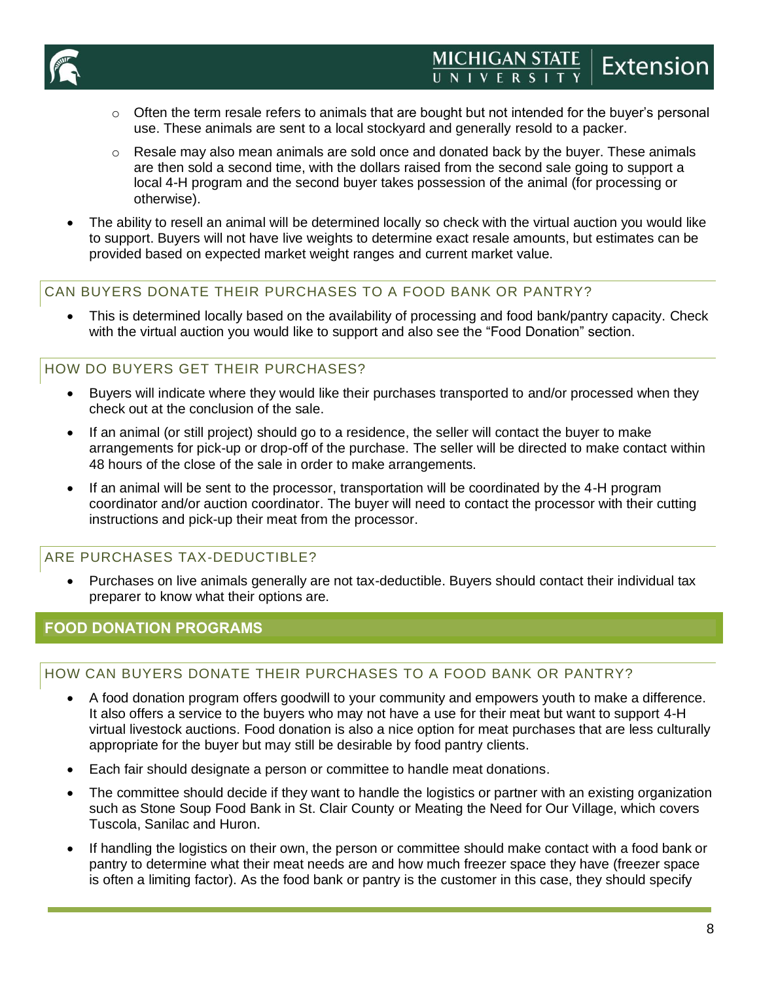

- $\circ$  Often the term resale refers to animals that are bought but not intended for the buyer's personal use. These animals are sent to a local stockyard and generally resold to a packer.
- $\circ$  Resale may also mean animals are sold once and donated back by the buyer. These animals are then sold a second time, with the dollars raised from the second sale going to support a local 4-H program and the second buyer takes possession of the animal (for processing or otherwise).
- The ability to resell an animal will be determined locally so check with the virtual auction you would like to support. Buyers will not have live weights to determine exact resale amounts, but estimates can be provided based on expected market weight ranges and current market value.

## CAN BUYERS DONATE THEIR PURCHASES TO A FOOD BANK OR PANTRY?

• This is determined locally based on the availability of processing and food bank/pantry capacity. Check with the virtual auction you would like to support and also see the "Food Donation" section.

## HOW DO BUYERS GET THEIR PURCHASES?

- Buyers will indicate where they would like their purchases transported to and/or processed when they check out at the conclusion of the sale.
- If an animal (or still project) should go to a residence, the seller will contact the buyer to make arrangements for pick-up or drop-off of the purchase. The seller will be directed to make contact within 48 hours of the close of the sale in order to make arrangements.
- If an animal will be sent to the processor, transportation will be coordinated by the 4-H program coordinator and/or auction coordinator. The buyer will need to contact the processor with their cutting instructions and pick-up their meat from the processor.

## ARE PURCHASES TAX-DEDUCTIBLE?

• Purchases on live animals generally are not tax-deductible. Buyers should contact their individual tax preparer to know what their options are.

## **FOOD DONATION PROGRAMS**

### HOW CAN BUYERS DONATE THEIR PURCHASES TO A FOOD BANK OR PANTRY?

- A food donation program offers goodwill to your community and empowers youth to make a difference. It also offers a service to the buyers who may not have a use for their meat but want to support 4-H virtual livestock auctions. Food donation is also a nice option for meat purchases that are less culturally appropriate for the buyer but may still be desirable by food pantry clients.
- Each fair should designate a person or committee to handle meat donations.
- The committee should decide if they want to handle the logistics or partner with an existing organization such as Stone Soup Food Bank in St. Clair County or Meating the Need for Our Village, which covers Tuscola, Sanilac and Huron.
- If handling the logistics on their own, the person or committee should make contact with a food bank or pantry to determine what their meat needs are and how much freezer space they have (freezer space is often a limiting factor). As the food bank or pantry is the customer in this case, they should specify